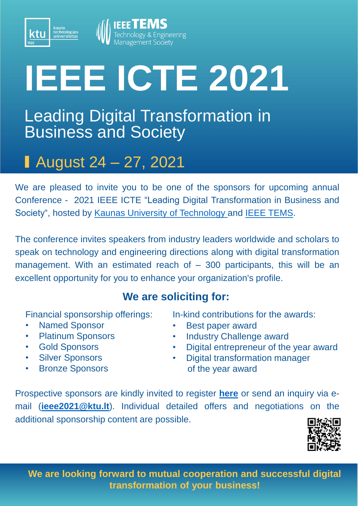

## **IEEE ICTE 2021**

## Leading Digital Transformation in Business and Society

## August 24 – 27, 2021

We are pleased to invite you to be one of the sponsors for upcoming annual Conference - 2021 IEEE ICTE "Leading Digital Transformation in Business and Society", hosted by Kaunas University of [Technology](https://en.ktu.edu/events/2021-ieee-international-conference-on-technology-and-entrepreneurship-leading-digital-transformation-in-business-and-society/) and IEEE [TEMS.](https://www.ieee-tems.org/)

The conference invites speakers from industry leaders worldwide and scholars to speak on technology and engineering directions along with digital transformation management. With an estimated reach of – 300 participants, this will be an excellent opportunity for you to enhance your organization's profile.

## **We are soliciting for:**

Financial sponsorship offerings:

• Named Sponsor

kauno<br>technologijos<br>universitetas

- Platinum Sponsors
- Gold Sponsors
- **Silver Sponsors**
- Bronze Sponsors

In-kind contributions for the awards:

- Best paper award
- Industry Challenge award
- Digital entrepreneur of the year award
- **Digital transformation manager** of the year award

Prospective sponsors are kindly invited to register **[here](https://web.cvent.com/event/3ca350bb-3f66-4878-9b08-24b7c93ae104/regPage:9357cb67-9e26-4d33-90bb-fc22551b93e1)** or send an inquiry via email (**[ieee2021@ktu.lt](mailto:ieee2021@ktu.lt)**). Individual detailed offers and negotiations on the additional sponsorship content are possible.



**We are looking forward to mutual cooperation and successful digital transformation of your business!**